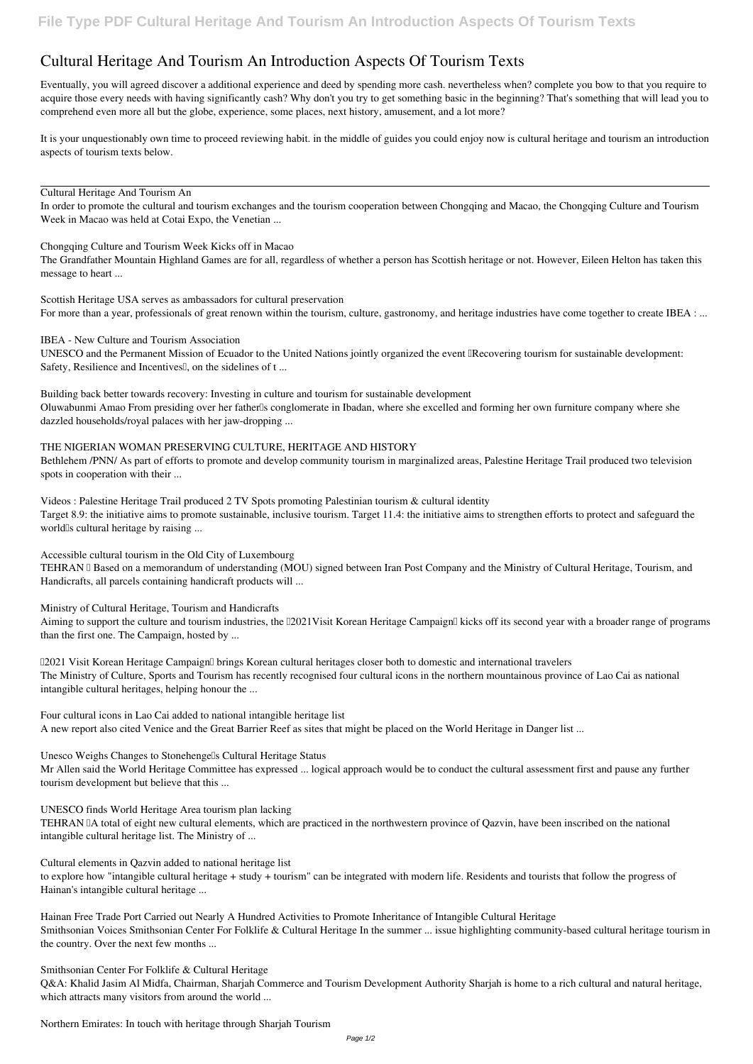## **Cultural Heritage And Tourism An Introduction Aspects Of Tourism Texts**

Eventually, you will agreed discover a additional experience and deed by spending more cash. nevertheless when? complete you bow to that you require to acquire those every needs with having significantly cash? Why don't you try to get something basic in the beginning? That's something that will lead you to comprehend even more all but the globe, experience, some places, next history, amusement, and a lot more?

*Scottish Heritage USA serves as ambassadors for cultural preservation* For more than a year, professionals of great renown within the tourism, culture, gastronomy, and heritage industries have come together to create IBEA : ...

It is your unquestionably own time to proceed reviewing habit. in the middle of guides you could enjoy now is **cultural heritage and tourism an introduction aspects of tourism texts** below.

UNESCO and the Permanent Mission of Ecuador to the United Nations jointly organized the event "Recovering tourism for sustainable development: Safety, Resilience and Incentives<sup>[]</sup>, on the sidelines of t...

*Cultural Heritage And Tourism An*

In order to promote the cultural and tourism exchanges and the tourism cooperation between Chongqing and Macao, the Chongqing Culture and Tourism Week in Macao was held at Cotai Expo, the Venetian ...

*Chongqing Culture and Tourism Week Kicks off in Macao* The Grandfather Mountain Highland Games are for all, regardless of whether a person has Scottish heritage or not. However, Eileen Helton has taken this message to heart ...

*Videos : Palestine Heritage Trail produced 2 TV Spots promoting Palestinian tourism & cultural identity* Target 8.9: the initiative aims to promote sustainable, inclusive tourism. Target 11.4: the initiative aims to strengthen efforts to protect and safeguard the world<sup>Is</sup> cultural heritage by raising ...

TEHRAN I Based on a memorandum of understanding (MOU) signed between Iran Post Company and the Ministry of Cultural Heritage, Tourism, and Handicrafts, all parcels containing handicraft products will ...

*IBEA - New Culture and Tourism Association*

Aiming to support the culture and tourism industries, the [2021Visit Korean Heritage Campaign] kicks off its second year with a broader range of programs than the first one. The Campaign, hosted by ...

*Building back better towards recovery: Investing in culture and tourism for sustainable development* Oluwabunmi Amao From presiding over her father<sup>'</sup>s conglomerate in Ibadan, where she excelled and forming her own furniture company where she dazzled households/royal palaces with her jaw-dropping ...

*THE NIGERIAN WOMAN PRESERVING CULTURE, HERITAGE AND HISTORY*

Bethlehem /PNN/ As part of efforts to promote and develop community tourism in marginalized areas, Palestine Heritage Trail produced two television spots in cooperation with their ...

Q&A: Khalid Jasim Al Midfa, Chairman, Sharjah Commerce and Tourism Development Authority Sharjah is home to a rich cultural and natural heritage, which attracts many visitors from around the world ...

*Accessible cultural tourism in the Old City of Luxembourg*

*Ministry of Cultural Heritage, Tourism and Handicrafts*

*"2021 Visit Korean Heritage Campaign" brings Korean cultural heritages closer both to domestic and international travelers* The Ministry of Culture, Sports and Tourism has recently recognised four cultural icons in the northern mountainous province of Lao Cai as national intangible cultural heritages, helping honour the ...

*Four cultural icons in Lao Cai added to national intangible heritage list* A new report also cited Venice and the Great Barrier Reef as sites that might be placed on the World Heritage in Danger list ...

*Unesco Weighs Changes to Stonehenge's Cultural Heritage Status*

Mr Allen said the World Heritage Committee has expressed ... logical approach would be to conduct the cultural assessment first and pause any further tourism development but believe that this ...

*UNESCO finds World Heritage Area tourism plan lacking* TEHRAN IA total of eight new cultural elements, which are practiced in the northwestern province of Qazvin, have been inscribed on the national intangible cultural heritage list. The Ministry of ...

*Cultural elements in Qazvin added to national heritage list*

to explore how "intangible cultural heritage + study + tourism" can be integrated with modern life. Residents and tourists that follow the progress of Hainan's intangible cultural heritage ...

*Hainan Free Trade Port Carried out Nearly A Hundred Activities to Promote Inheritance of Intangible Cultural Heritage* Smithsonian Voices Smithsonian Center For Folklife & Cultural Heritage In the summer ... issue highlighting community-based cultural heritage tourism in the country. Over the next few months ...

*Smithsonian Center For Folklife & Cultural Heritage*

*Northern Emirates: In touch with heritage through Sharjah Tourism*